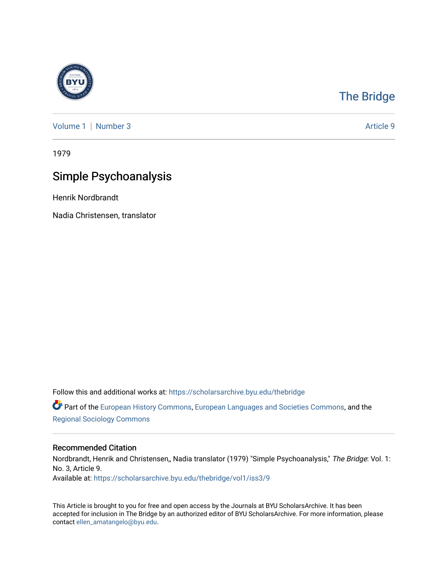

## [The Bridge](https://scholarsarchive.byu.edu/thebridge)

[Volume 1](https://scholarsarchive.byu.edu/thebridge/vol1) | [Number 3](https://scholarsarchive.byu.edu/thebridge/vol1/iss3) Article 9

1979

# Simple Psychoanalysis

Henrik Nordbrandt

Nadia Christensen, translator

Follow this and additional works at: [https://scholarsarchive.byu.edu/thebridge](https://scholarsarchive.byu.edu/thebridge?utm_source=scholarsarchive.byu.edu%2Fthebridge%2Fvol1%2Fiss3%2F9&utm_medium=PDF&utm_campaign=PDFCoverPages) 

**C** Part of the [European History Commons](http://network.bepress.com/hgg/discipline/492?utm_source=scholarsarchive.byu.edu%2Fthebridge%2Fvol1%2Fiss3%2F9&utm_medium=PDF&utm_campaign=PDFCoverPages), [European Languages and Societies Commons,](http://network.bepress.com/hgg/discipline/482?utm_source=scholarsarchive.byu.edu%2Fthebridge%2Fvol1%2Fiss3%2F9&utm_medium=PDF&utm_campaign=PDFCoverPages) and the [Regional Sociology Commons](http://network.bepress.com/hgg/discipline/427?utm_source=scholarsarchive.byu.edu%2Fthebridge%2Fvol1%2Fiss3%2F9&utm_medium=PDF&utm_campaign=PDFCoverPages) 

### Recommended Citation

Nordbrandt, Henrik and Christensen,, Nadia translator (1979) "Simple Psychoanalysis," The Bridge: Vol. 1: No. 3, Article 9. Available at: [https://scholarsarchive.byu.edu/thebridge/vol1/iss3/9](https://scholarsarchive.byu.edu/thebridge/vol1/iss3/9?utm_source=scholarsarchive.byu.edu%2Fthebridge%2Fvol1%2Fiss3%2F9&utm_medium=PDF&utm_campaign=PDFCoverPages)

This Article is brought to you for free and open access by the Journals at BYU ScholarsArchive. It has been accepted for inclusion in The Bridge by an authorized editor of BYU ScholarsArchive. For more information, please contact [ellen\\_amatangelo@byu.edu.](mailto:ellen_amatangelo@byu.edu)